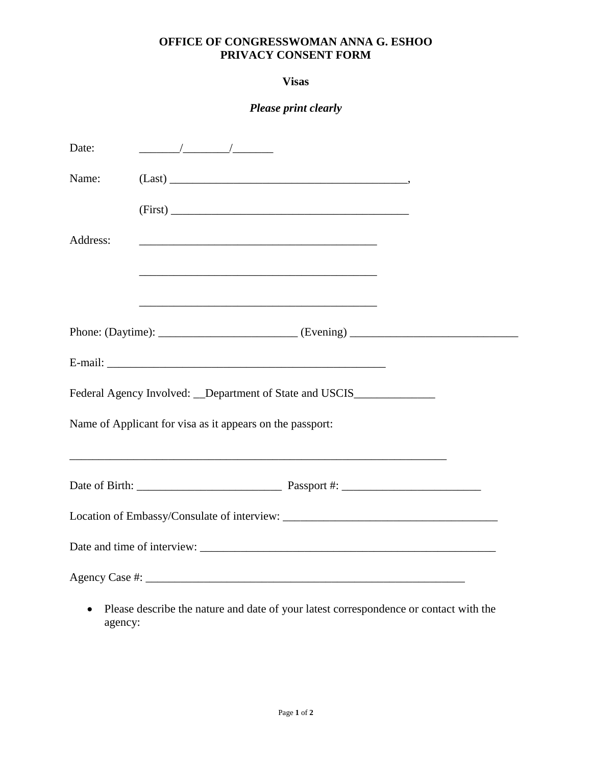## **OFFICE OF CONGRESSWOMAN ANNA G. ESHOO PRIVACY CONSENT FORM**

**Visas** 

*Please print clearly* 

| Date:    |                                                                                   |  |
|----------|-----------------------------------------------------------------------------------|--|
| Name:    | $(Last) \nightharpoonup$                                                          |  |
|          | (First)                                                                           |  |
| Address: |                                                                                   |  |
|          |                                                                                   |  |
|          |                                                                                   |  |
|          |                                                                                   |  |
|          | E-mail:                                                                           |  |
|          | Federal Agency Involved: __Department of State and USCIS_________________________ |  |
|          | Name of Applicant for visa as it appears on the passport:                         |  |
|          | ,我们也不会有什么。""我们的人,我们也不会有什么?""我们的人,我们也不会有什么?""我们的人,我们也不会有什么?""我们的人,我们也不会有什么?""我们的人  |  |
|          |                                                                                   |  |
|          |                                                                                   |  |
|          |                                                                                   |  |
|          |                                                                                   |  |

 Please describe the nature and date of your latest correspondence or contact with the agency: